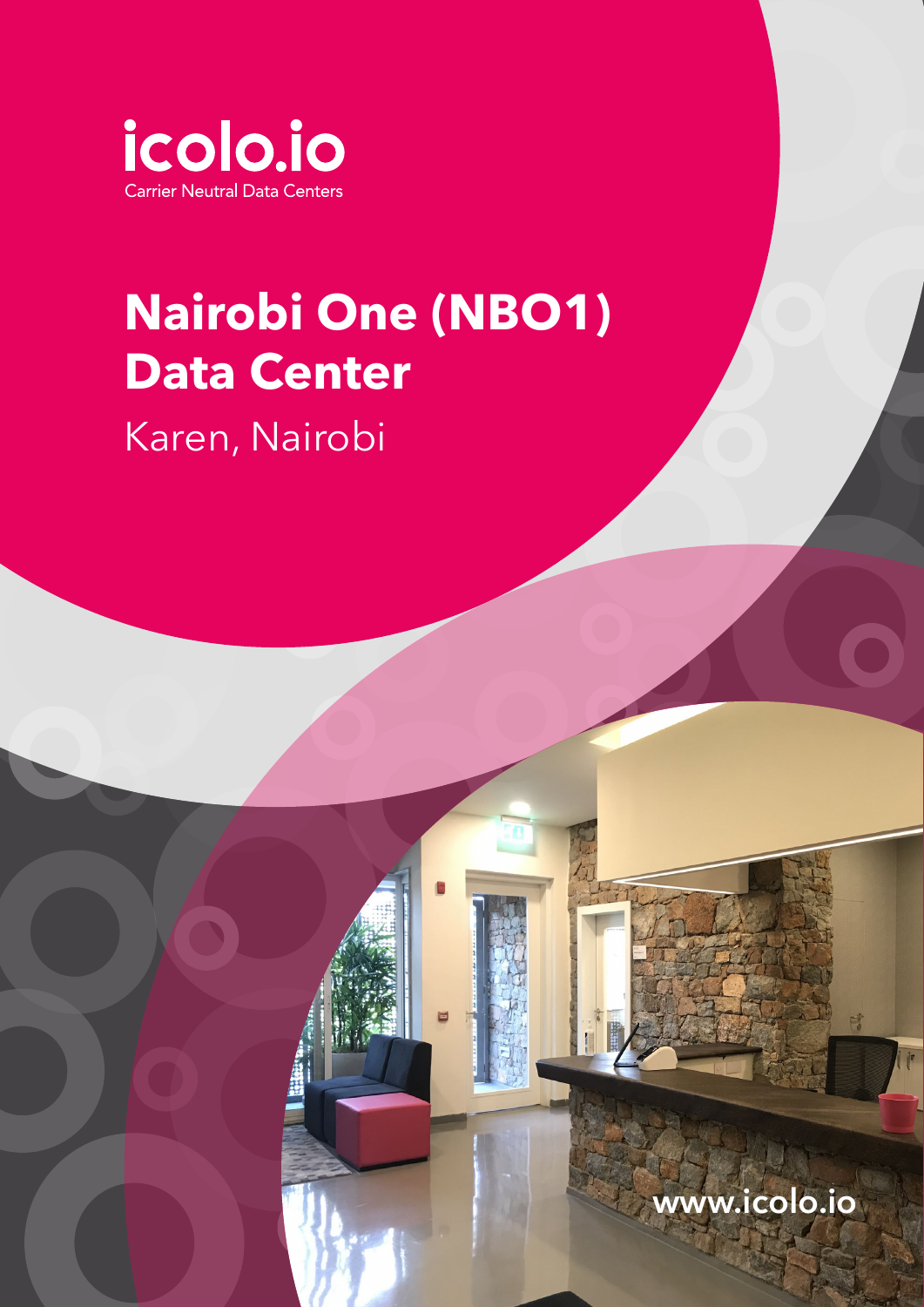

## **Nairobi One (NBO1) Data Center**

Karen, Nairobi